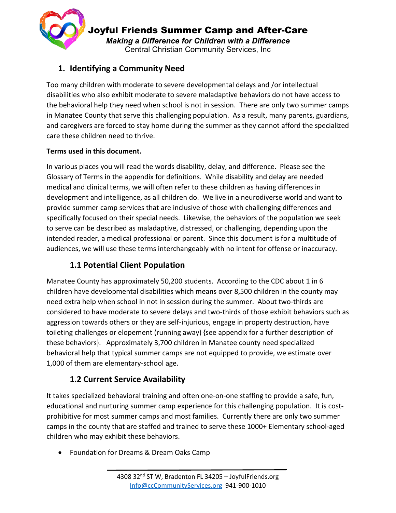

Joyful Friends Summer Camp and After-Care *Making a Difference for Children with a Difference* Central Christian Community Services, Inc

# **1. Identifying a Community Need**

Too many children with moderate to severe developmental delays and /or intellectual disabilities who also exhibit moderate to severe maladaptive behaviors do not have access to the behavioral help they need when school is not in session. There are only two summer camps in Manatee County that serve this challenging population. As a result, many parents, guardians, and caregivers are forced to stay home during the summer as they cannot afford the specialized care these children need to thrive.

## **Terms used in this document.**

In various places you will read the words disability, delay, and difference. Please see the Glossary of Terms in the appendix for definitions. While disability and delay are needed medical and clinical terms, we will often refer to these children as having differences in development and intelligence, as all children do. We live in a neurodiverse world and want to provide summer camp services that are inclusive of those with challenging differences and specifically focused on their special needs. Likewise, the behaviors of the population we seek to serve can be described as maladaptive, distressed, or challenging, depending upon the intended reader, a medical professional or parent. Since this document is for a multitude of audiences, we will use these terms interchangeably with no intent for offense or inaccuracy.

# **1.1 Potential Client Population**

Manatee County has approximately 50,200 students. According to the CDC about 1 in 6 children have developmental disabilities which means over 8,500 children in the county may need extra help when school in not in session during the summer. About two-thirds are considered to have moderate to severe delays and two-thirds of those exhibit behaviors such as aggression towards others or they are self-injurious, engage in property destruction, have toileting challenges or elopement (running away) {see appendix for a further description of these behaviors}. Approximately 3,700 children in Manatee county need specialized behavioral help that typical summer camps are not equipped to provide, we estimate over 1,000 of them are elementary-school age.

# **1.2 Current Service Availability**

It takes specialized behavioral training and often one-on-one staffing to provide a safe, fun, educational and nurturing summer camp experience for this challenging population. It is costprohibitive for most summer camps and most families. Currently there are only two summer camps in the county that are staffed and trained to serve these 1000+ Elementary school-aged children who may exhibit these behaviors.

• Foundation for Dreams & Dream Oaks Camp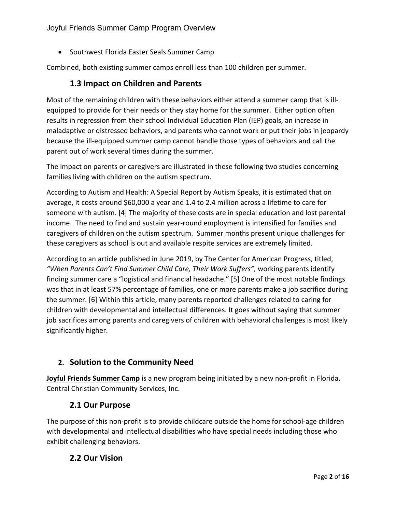• Southwest Florida Easter Seals Summer Camp

Combined, both existing summer camps enroll less than 100 children per summer.

### **1.3 Impact on Children and Parents**

Most of the remaining children with these behaviors either attend a summer camp that is illequipped to provide for their needs or they stay home for the summer. Either option often results in regression from their school Individual Education Plan (IEP) goals, an increase in maladaptive or distressed behaviors, and parents who cannot work or put their jobs in jeopardy because the ill-equipped summer camp cannot handle those types of behaviors and call the parent out of work several times during the summer.

The impact on parents or caregivers are illustrated in these following two studies concerning families living with children on the autism spectrum.

According to Autism and Health: A Special Report by Autism Speaks, it is estimated that on average, it costs around \$60,000 a year and 1.4 to 2.4 million across a lifetime to care for someone with autism. [4] The majority of these costs are in special education and lost parental income. The need to find and sustain year-round employment is intensified for families and caregivers of children on the autism spectrum. Summer months present unique challenges for these caregivers as school is out and available respite services are extremely limited.

According to an article published in June 2019, by The Center for American Progress, titled, *"When Parents Can't Find Summer Child Care, Their Work Suffers",* working parents identify finding summer care a "logistical and financial headache." [5] One of the most notable findings was that in at least 57% percentage of families, one or more parents make a job sacrifice during the summer. [6] Within this article, many parents reported challenges related to caring for children with developmental and intellectual differences. It goes without saying that summer job sacrifices among parents and caregivers of children with behavioral challenges is most likely significantly higher.

## **2. Solution to the Community Need**

**Joyful Friends Summer Camp** is a new program being initiated by a new non-profit in Florida, Central Christian Community Services, Inc.

## **2.1 Our Purpose**

The purpose of this non-profit is to provide childcare outside the home for school-age children with developmental and intellectual disabilities who have special needs including those who exhibit challenging behaviors.

## **2.2 Our Vision**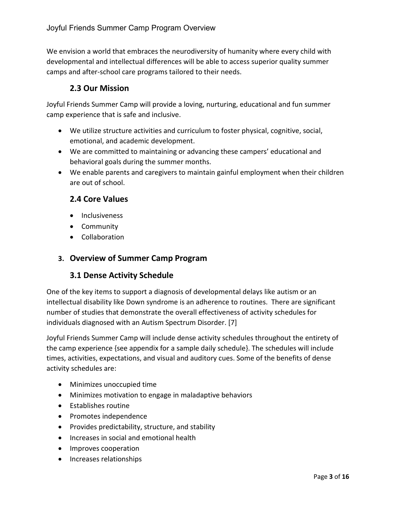We envision a world that embraces the neurodiversity of humanity where every child with developmental and intellectual differences will be able to access superior quality summer camps and after-school care programs tailored to their needs.

# **2.3 Our Mission**

Joyful Friends Summer Camp will provide a loving, nurturing, educational and fun summer camp experience that is safe and inclusive.

- We utilize structure activities and curriculum to foster physical, cognitive, social, emotional, and academic development.
- We are committed to maintaining or advancing these campers' educational and behavioral goals during the summer months.
- We enable parents and caregivers to maintain gainful employment when their children are out of school.

## **2.4 Core Values**

- Inclusiveness
- Community
- Collaboration

## **3. Overview of Summer Camp Program**

### **3.1 Dense Activity Schedule**

One of the key items to support a diagnosis of developmental delays like autism or an intellectual disability like Down syndrome is an adherence to routines. There are significant number of studies that demonstrate the overall effectiveness of activity schedules for individuals diagnosed with an Autism Spectrum Disorder. [7]

Joyful Friends Summer Camp will include dense activity schedules throughout the entirety of the camp experience {see appendix for a sample daily schedule}. The schedules will include times, activities, expectations, and visual and auditory cues. Some of the benefits of dense activity schedules are:

- Minimizes unoccupied time
- Minimizes motivation to engage in maladaptive behaviors
- Establishes routine
- Promotes independence
- Provides predictability, structure, and stability
- Increases in social and emotional health
- Improves cooperation
- Increases relationships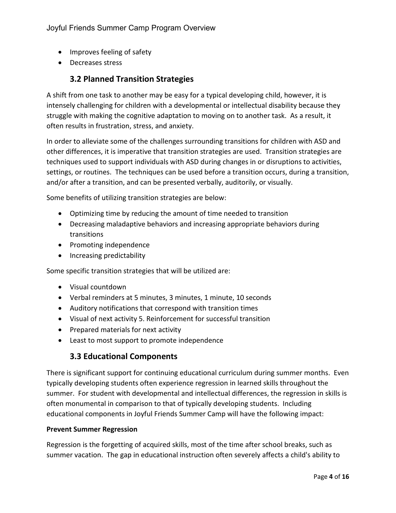- Improves feeling of safety
- Decreases stress

# **3.2 Planned Transition Strategies**

A shift from one task to another may be easy for a typical developing child, however, it is intensely challenging for children with a developmental or intellectual disability because they struggle with making the cognitive adaptation to moving on to another task. As a result, it often results in frustration, stress, and anxiety.

In order to alleviate some of the challenges surrounding transitions for children with ASD and other differences, it is imperative that transition strategies are used. Transition strategies are techniques used to support individuals with ASD during changes in or disruptions to activities, settings, or routines. The techniques can be used before a transition occurs, during a transition, and/or after a transition, and can be presented verbally, auditorily, or visually.

Some benefits of utilizing transition strategies are below:

- Optimizing time by reducing the amount of time needed to transition
- Decreasing maladaptive behaviors and increasing appropriate behaviors during transitions
- Promoting independence
- Increasing predictability

Some specific transition strategies that will be utilized are:

- Visual countdown
- Verbal reminders at 5 minutes, 3 minutes, 1 minute, 10 seconds
- Auditory notifications that correspond with transition times
- Visual of next activity 5. Reinforcement for successful transition
- Prepared materials for next activity
- Least to most support to promote independence

### **3.3 Educational Components**

There is significant support for continuing educational curriculum during summer months. Even typically developing students often experience regression in learned skills throughout the summer. For student with developmental and intellectual differences, the regression in skills is often monumental in comparison to that of typically developing students. Including educational components in Joyful Friends Summer Camp will have the following impact:

#### **Prevent Summer Regression**

Regression is the forgetting of acquired skills, most of the time after school breaks, such as summer vacation. The gap in educational instruction often severely affects a child's ability to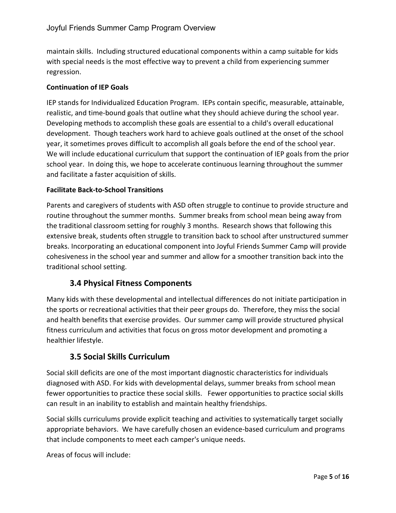maintain skills. Including structured educational components within a camp suitable for kids with special needs is the most effective way to prevent a child from experiencing summer regression.

### **Continuation of IEP Goals**

IEP stands for Individualized Education Program. IEPs contain specific, measurable, attainable, realistic, and time-bound goals that outline what they should achieve during the school year. Developing methods to accomplish these goals are essential to a child's overall educational development. Though teachers work hard to achieve goals outlined at the onset of the school year, it sometimes proves difficult to accomplish all goals before the end of the school year. We will include educational curriculum that support the continuation of IEP goals from the prior school year. In doing this, we hope to accelerate continuous learning throughout the summer and facilitate a faster acquisition of skills.

#### **Facilitate Back-to-School Transitions**

Parents and caregivers of students with ASD often struggle to continue to provide structure and routine throughout the summer months. Summer breaks from school mean being away from the traditional classroom setting for roughly 3 months. Research shows that following this extensive break, students often struggle to transition back to school after unstructured summer breaks. Incorporating an educational component into Joyful Friends Summer Camp will provide cohesiveness in the school year and summer and allow for a smoother transition back into the traditional school setting.

## **3.4 Physical Fitness Components**

Many kids with these developmental and intellectual differences do not initiate participation in the sports or recreational activities that their peer groups do. Therefore, they miss the social and health benefits that exercise provides. Our summer camp will provide structured physical fitness curriculum and activities that focus on gross motor development and promoting a healthier lifestyle.

## **3.5 Social Skills Curriculum**

Social skill deficits are one of the most important diagnostic characteristics for individuals diagnosed with ASD. For kids with developmental delays, summer breaks from school mean fewer opportunities to practice these social skills. Fewer opportunities to practice social skills can result in an inability to establish and maintain healthy friendships.

Social skills curriculums provide explicit teaching and activities to systematically target socially appropriate behaviors. We have carefully chosen an evidence-based curriculum and programs that include components to meet each camper's unique needs.

Areas of focus will include: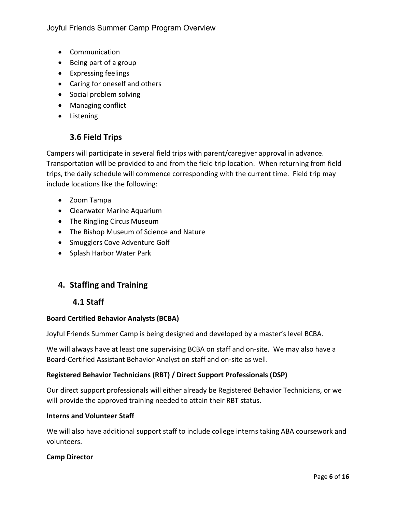Joyful Friends Summer Camp Program Overview

- Communication
- Being part of a group
- Expressing feelings
- Caring for oneself and others
- Social problem solving
- Managing conflict
- Listening

# **3.6 Field Trips**

Campers will participate in several field trips with parent/caregiver approval in advance. Transportation will be provided to and from the field trip location. When returning from field trips, the daily schedule will commence corresponding with the current time. Field trip may include locations like the following:

- Zoom Tampa
- Clearwater Marine Aquarium
- The Ringling Circus Museum
- The Bishop Museum of Science and Nature
- Smugglers Cove Adventure Golf
- Splash Harbor Water Park

# **4. Staffing and Training**

### **4.1 Staff**

#### **Board Certified Behavior Analysts (BCBA)**

Joyful Friends Summer Camp is being designed and developed by a master's level BCBA.

We will always have at least one supervising BCBA on staff and on-site. We may also have a Board-Certified Assistant Behavior Analyst on staff and on-site as well.

#### **Registered Behavior Technicians (RBT) / Direct Support Professionals (DSP)**

Our direct support professionals will either already be Registered Behavior Technicians, or we will provide the approved training needed to attain their RBT status.

#### **Interns and Volunteer Staff**

We will also have additional support staff to include college interns taking ABA coursework and volunteers.

#### **Camp Director**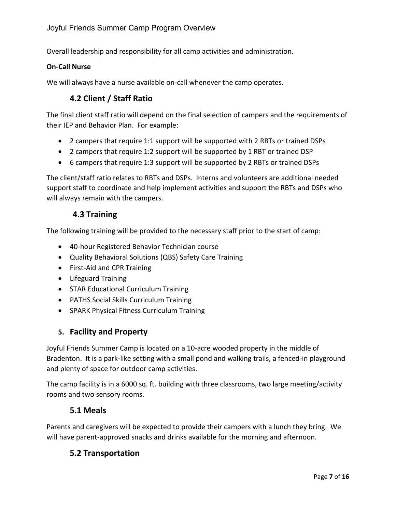Overall leadership and responsibility for all camp activities and administration.

#### **On-Call Nurse**

We will always have a nurse available on-call whenever the camp operates.

# **4.2 Client / Staff Ratio**

The final client staff ratio will depend on the final selection of campers and the requirements of their IEP and Behavior Plan. For example:

- 2 campers that require 1:1 support will be supported with 2 RBTs or trained DSPs
- 2 campers that require 1:2 support will be supported by 1 RBT or trained DSP
- 6 campers that require 1:3 support will be supported by 2 RBTs or trained DSPs

The client/staff ratio relates to RBTs and DSPs. Interns and volunteers are additional needed support staff to coordinate and help implement activities and support the RBTs and DSPs who will always remain with the campers.

### **4.3 Training**

The following training will be provided to the necessary staff prior to the start of camp:

- 40-hour Registered Behavior Technician course
- Quality Behavioral Solutions (QBS) Safety Care Training
- First-Aid and CPR Training
- Lifeguard Training
- STAR Educational Curriculum Training
- PATHS Social Skills Curriculum Training
- SPARK Physical Fitness Curriculum Training

### **5. Facility and Property**

Joyful Friends Summer Camp is located on a 10-acre wooded property in the middle of Bradenton. It is a park-like setting with a small pond and walking trails, a fenced-in playground and plenty of space for outdoor camp activities.

The camp facility is in a 6000 sq. ft. building with three classrooms, two large meeting/activity rooms and two sensory rooms.

### **5.1 Meals**

Parents and caregivers will be expected to provide their campers with a lunch they bring. We will have parent-approved snacks and drinks available for the morning and afternoon.

## **5.2 Transportation**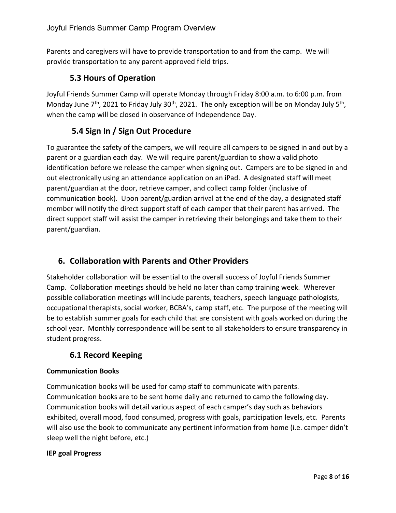Parents and caregivers will have to provide transportation to and from the camp. We will provide transportation to any parent-approved field trips.

# **5.3 Hours of Operation**

Joyful Friends Summer Camp will operate Monday through Friday 8:00 a.m. to 6:00 p.m. from Monday June  $7<sup>th</sup>$ , 2021 to Friday July 30<sup>th</sup>, 2021. The only exception will be on Monday July 5<sup>th</sup>, when the camp will be closed in observance of Independence Day.

# **5.4 Sign In / Sign Out Procedure**

To guarantee the safety of the campers, we will require all campers to be signed in and out by a parent or a guardian each day. We will require parent/guardian to show a valid photo identification before we release the camper when signing out. Campers are to be signed in and out electronically using an attendance application on an iPad. A designated staff will meet parent/guardian at the door, retrieve camper, and collect camp folder (inclusive of communication book). Upon parent/guardian arrival at the end of the day, a designated staff member will notify the direct support staff of each camper that their parent has arrived. The direct support staff will assist the camper in retrieving their belongings and take them to their parent/guardian.

# **6. Collaboration with Parents and Other Providers**

Stakeholder collaboration will be essential to the overall success of Joyful Friends Summer Camp. Collaboration meetings should be held no later than camp training week. Wherever possible collaboration meetings will include parents, teachers, speech language pathologists, occupational therapists, social worker, BCBA's, camp staff, etc. The purpose of the meeting will be to establish summer goals for each child that are consistent with goals worked on during the school year. Monthly correspondence will be sent to all stakeholders to ensure transparency in student progress.

# **6.1 Record Keeping**

### **Communication Books**

Communication books will be used for camp staff to communicate with parents. Communication books are to be sent home daily and returned to camp the following day. Communication books will detail various aspect of each camper's day such as behaviors exhibited, overall mood, food consumed, progress with goals, participation levels, etc. Parents will also use the book to communicate any pertinent information from home (i.e. camper didn't sleep well the night before, etc.)

#### **IEP goal Progress**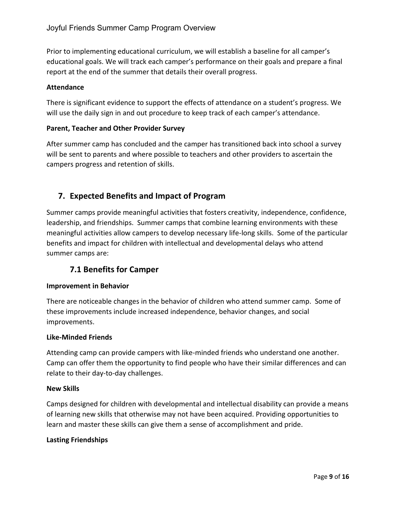Prior to implementing educational curriculum, we will establish a baseline for all camper's educational goals. We will track each camper's performance on their goals and prepare a final report at the end of the summer that details their overall progress.

### **Attendance**

There is significant evidence to support the effects of attendance on a student's progress. We will use the daily sign in and out procedure to keep track of each camper's attendance.

#### **Parent, Teacher and Other Provider Survey**

After summer camp has concluded and the camper has transitioned back into school a survey will be sent to parents and where possible to teachers and other providers to ascertain the campers progress and retention of skills.

# **7. Expected Benefits and Impact of Program**

Summer camps provide meaningful activities that fosters creativity, independence, confidence, leadership, and friendships. Summer camps that combine learning environments with these meaningful activities allow campers to develop necessary life-long skills. Some of the particular benefits and impact for children with intellectual and developmental delays who attend summer camps are:

## **7.1 Benefits for Camper**

#### **Improvement in Behavior**

There are noticeable changes in the behavior of children who attend summer camp. Some of these improvements include increased independence, behavior changes, and social improvements.

#### **Like-Minded Friends**

Attending camp can provide campers with like-minded friends who understand one another. Camp can offer them the opportunity to find people who have their similar differences and can relate to their day-to-day challenges.

#### **New Skills**

Camps designed for children with developmental and intellectual disability can provide a means of learning new skills that otherwise may not have been acquired. Providing opportunities to learn and master these skills can give them a sense of accomplishment and pride.

#### **Lasting Friendships**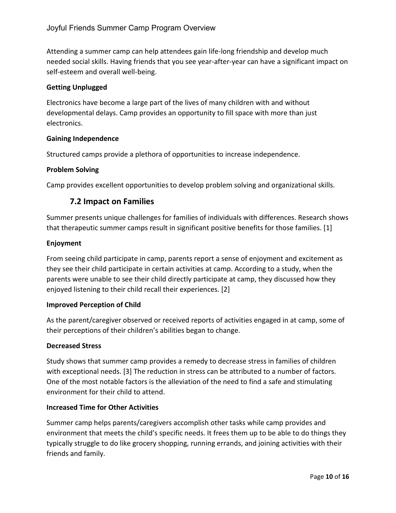Attending a summer camp can help attendees gain life-long friendship and develop much needed social skills. Having friends that you see year-after-year can have a significant impact on self-esteem and overall well-being.

### **Getting Unplugged**

Electronics have become a large part of the lives of many children with and without developmental delays. Camp provides an opportunity to fill space with more than just electronics.

#### **Gaining Independence**

Structured camps provide a plethora of opportunities to increase independence.

#### **Problem Solving**

Camp provides excellent opportunities to develop problem solving and organizational skills.

## **7.2 Impact on Families**

Summer presents unique challenges for families of individuals with differences. Research shows that therapeutic summer camps result in significant positive benefits for those families. [1]

#### **Enjoyment**

From seeing child participate in camp, parents report a sense of enjoyment and excitement as they see their child participate in certain activities at camp. According to a study, when the parents were unable to see their child directly participate at camp, they discussed how they enjoyed listening to their child recall their experiences. [2]

#### **Improved Perception of Child**

As the parent/caregiver observed or received reports of activities engaged in at camp, some of their perceptions of their children's abilities began to change.

#### **Decreased Stress**

Study shows that summer camp provides a remedy to decrease stress in families of children with exceptional needs. [3] The reduction in stress can be attributed to a number of factors. One of the most notable factors is the alleviation of the need to find a safe and stimulating environment for their child to attend.

#### **Increased Time for Other Activities**

Summer camp helps parents/caregivers accomplish other tasks while camp provides and environment that meets the child's specific needs. It frees them up to be able to do things they typically struggle to do like grocery shopping, running errands, and joining activities with their friends and family.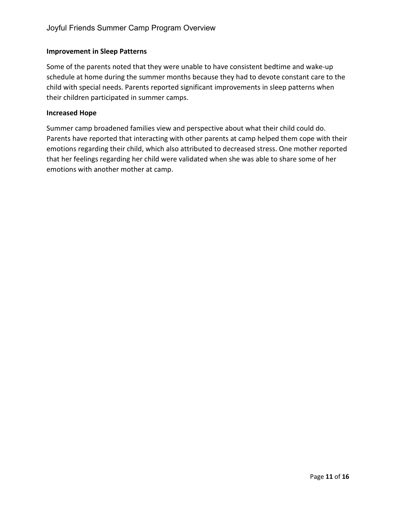#### **Improvement in Sleep Patterns**

Some of the parents noted that they were unable to have consistent bedtime and wake-up schedule at home during the summer months because they had to devote constant care to the child with special needs. Parents reported significant improvements in sleep patterns when their children participated in summer camps.

#### **Increased Hope**

Summer camp broadened families view and perspective about what their child could do. Parents have reported that interacting with other parents at camp helped them cope with their emotions regarding their child, which also attributed to decreased stress. One mother reported that her feelings regarding her child were validated when she was able to share some of her emotions with another mother at camp.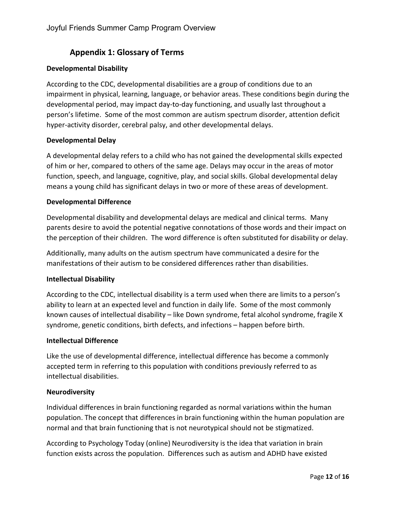# **Appendix 1: Glossary of Terms**

#### **Developmental Disability**

According to the CDC, developmental disabilities are a group of conditions due to an impairment in physical, learning, language, or behavior areas. These conditions begin during the developmental period, may impact day-to-day functioning, and usually last throughout a person's lifetime. Some of the most common are autism spectrum disorder, attention deficit hyper-activity disorder, cerebral palsy, and other developmental delays.

#### **Developmental Delay**

A developmental delay refers to a child who has not gained the developmental skills expected of him or her, compared to others of the same age. Delays may occur in the areas of motor function, speech, and language, cognitive, play, and social skills. Global developmental delay means a young child has significant delays in two or more of these areas of development.

#### **Developmental Difference**

Developmental disability and developmental delays are medical and clinical terms. Many parents desire to avoid the potential negative connotations of those words and their impact on the perception of their children. The word difference is often substituted for disability or delay.

Additionally, many adults on the autism spectrum have communicated a desire for the manifestations of their autism to be considered differences rather than disabilities.

#### **Intellectual Disability**

According to the CDC, intellectual disability is a term used when there are limits to a person's ability to learn at an expected level and function in daily life. Some of the most commonly known causes of intellectual disability – like Down syndrome, fetal alcohol syndrome, fragile X syndrome, genetic conditions, birth defects, and infections – happen before birth.

#### **Intellectual Difference**

Like the use of developmental difference, intellectual difference has become a commonly accepted term in referring to this population with conditions previously referred to as intellectual disabilities.

#### **Neurodiversity**

Individual differences in brain functioning regarded as normal variations within the human population. The concept that differences in brain functioning within the human population are normal and that brain functioning that is not neurotypical should not be stigmatized.

According to Psychology Today (online) Neurodiversity is the idea that variation in brain function exists across the population. Differences such as autism and ADHD have existed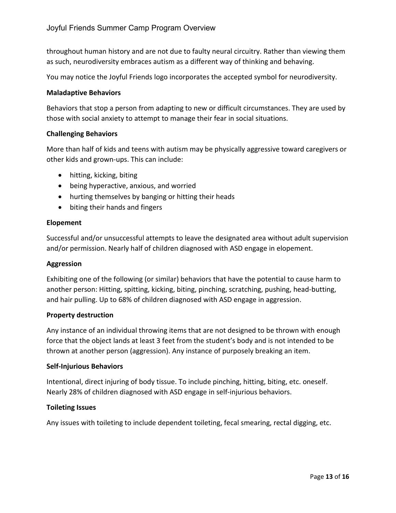throughout human history and are not due to faulty neural circuitry. Rather than viewing them as such, neurodiversity embraces autism as a different way of thinking and behaving.

You may notice the Joyful Friends logo incorporates the accepted symbol for neurodiversity.

#### **Maladaptive Behaviors**

Behaviors that stop a person from adapting to new or difficult circumstances. They are used by those with social anxiety to attempt to manage their fear in social situations.

#### **Challenging Behaviors**

More than half of kids and teens with autism may be physically aggressive toward caregivers or other kids and grown-ups. This can include:

- hitting, kicking, biting
- being hyperactive, anxious, and worried
- hurting themselves by banging or hitting their heads
- biting their hands and fingers

#### **Elopement**

Successful and/or unsuccessful attempts to leave the designated area without adult supervision and/or permission. Nearly half of children diagnosed with ASD engage in elopement.

#### **Aggression**

Exhibiting one of the following (or similar) behaviors that have the potential to cause harm to another person: Hitting, spitting, kicking, biting, pinching, scratching, pushing, head-butting, and hair pulling. Up to 68% of children diagnosed with ASD engage in aggression.

#### **Property destruction**

Any instance of an individual throwing items that are not designed to be thrown with enough force that the object lands at least 3 feet from the student's body and is not intended to be thrown at another person (aggression). Any instance of purposely breaking an item.

#### **Self-Injurious Behaviors**

Intentional, direct injuring of body tissue. To include pinching, hitting, biting, etc. oneself. Nearly 28% of children diagnosed with ASD engage in self-injurious behaviors.

#### **Toileting Issues**

Any issues with toileting to include dependent toileting, fecal smearing, rectal digging, etc.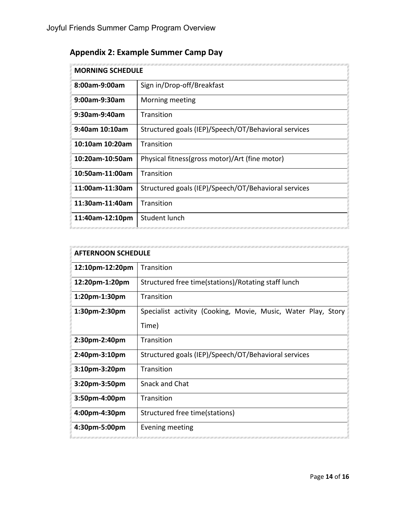| <b>Appendix 2: Example Summer Camp Day</b> |  |
|--------------------------------------------|--|
|--------------------------------------------|--|

| <b>MORNING SCHEDULE</b> |                                                      |
|-------------------------|------------------------------------------------------|
| 8:00am-9:00am           | Sign in/Drop-off/Breakfast                           |
| 9:00am-9:30am           | Morning meeting                                      |
| 9:30am-9:40am           | Transition                                           |
| $9:40$ am 10:10am       | Structured goals (IEP)/Speech/OT/Behavioral services |
| 10:10am 10:20am         | Transition                                           |
| 10:20am-10:50am         | Physical fitness(gross motor)/Art (fine motor)       |
| 10:50am-11:00am         | Transition                                           |
| 11:00am-11:30am         | Structured goals (IEP)/Speech/OT/Behavioral services |
| 11:30am-11:40am         | Transition                                           |
| 11:40am-12:10pm         | Student lunch                                        |

| <b>AFTERNOON SCHEDULE</b> |                                                               |
|---------------------------|---------------------------------------------------------------|
| 12:10pm-12:20pm           | Transition                                                    |
| 12:20pm-1:20pm            | Structured free time(stations)/Rotating staff lunch           |
| 1:20pm-1:30pm             | Transition                                                    |
| 1:30pm-2:30pm             | Specialist activity (Cooking, Movie, Music, Water Play, Story |
|                           | Time)                                                         |
| 2:30pm-2:40pm             | Transition                                                    |
| 2:40pm-3:10pm             | Structured goals (IEP)/Speech/OT/Behavioral services          |
| 3:10pm-3:20pm             | Transition                                                    |
| 3:20pm-3:50pm             | <b>Snack and Chat</b>                                         |
| 3:50pm-4:00pm             | Transition                                                    |
| 4:00pm-4:30pm             | Structured free time(stations)                                |
| 4:30pm-5:00pm             | <b>Evening meeting</b>                                        |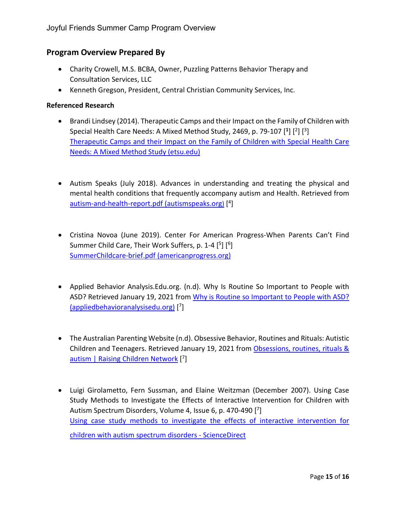# **Program Overview Prepared By**

- Charity Crowell, M.S. BCBA, Owner, Puzzling Patterns Behavior Therapy and Consultation Services, LLC
- Kenneth Gregson, President, Central Christian Community Services, Inc.

#### **Referenced Research**

- Brandi Lindsey (2014). Therapeutic Camps and their Impact on the Family of Children with Special Health Care Needs: A Mixed Method Study, 2469, p. 79-107 [**<sup>1</sup>**] [2] [3] [Therapeutic Camps and their Impact on the Family of Children with Special Health Care](https://dc.etsu.edu/cgi/viewcontent.cgi?article=3829&context=etd)  [Needs: A Mixed Method Study \(etsu.edu\)](https://dc.etsu.edu/cgi/viewcontent.cgi?article=3829&context=etd)
- Autism Speaks (July 2018). Advances in understanding and treating the physical and mental health conditions that frequently accompany autism and Health. Retrieved from [autism-and-health-report.pdf \(autismspeaks.org\)](https://www.autismspeaks.org/sites/default/files/2018-09/autism-and-health-report.pdf) [ 4]
- Cristina Novoa (June 2019). Center For American Progress-When Parents Can't Find Summer Child Care, Their Work Suffers, p. 1-4 [5] [6] [SummerChildcare-brief.pdf \(americanprogress.org\)](https://cdn.americanprogress.org/content/uploads/2019/06/10084227/SummerChildcare-brief.pdf)
- Applied Behavior Analysis.Edu.org. (n.d). Why Is Routine So Important to People with ASD? Retrieved January 19, 2021 from [Why is Routine so Important to People with ASD?](https://www.appliedbehavioranalysisedu.org/why-is-routine-so-important-to-people-with-asd/)  [\(appliedbehavioranalysisedu.org\)](https://www.appliedbehavioranalysisedu.org/why-is-routine-so-important-to-people-with-asd/) [ 7]
- The Australian Parenting Website (n.d). Obsessive Behavior, Routines and Rituals: Autistic Children and Teenagers. Retrieved January 19, 2021 fro[m Obsessions, routines, rituals &](https://raisingchildren.net.au/autism/behaviour/understanding-behaviour/obsessive-behaviour-asd)  [autism | Raising Children Network](https://raisingchildren.net.au/autism/behaviour/understanding-behaviour/obsessive-behaviour-asd) [7]
- Luigi Girolametto, Fern Sussman, and Elaine Weitzman (December 2007). Using Case Study Methods to Investigate the Effects of Interactive Intervention for Children with Autism Spectrum Disorders, Volume 4, Issue 6, p. 470-490 [7] [Using case study methods to investigate the effects of interactive intervention for](https://www.sciencedirect.com/science/article/abs/pii/S0021992406000992?via%3Dihub)  [children with autism spectrum disorders -](https://www.sciencedirect.com/science/article/abs/pii/S0021992406000992?via%3Dihub) ScienceDirect